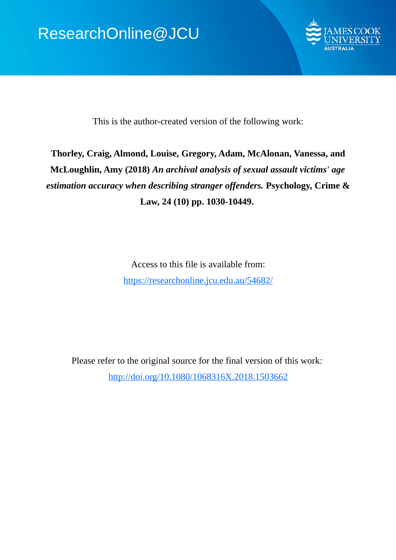

This is the author-created version of the following work:

# **Thorley, Craig, Almond, Louise, Gregory, Adam, McAlonan, Vanessa, and McLoughlin, Amy (2018)** *An archival analysis of sexual assault victims' age estimation accuracy when describing stranger offenders.* **Psychology, Crime & Law, 24 (10) pp. 1030-10449.**

Access to this file is available from: https://researchonline.jcu.edu.au/54682/

Please refer to the original source for the final version of this work: http://doi.org/10.1080/1068316X.2018.1503662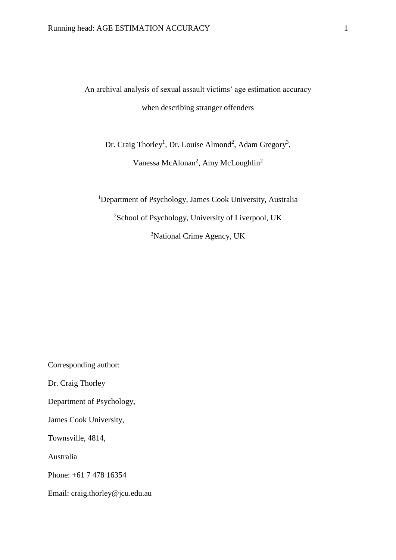An archival analysis of sexual assault victims' age estimation accuracy when describing stranger offenders

Dr. Craig Thorley<sup>1</sup>, Dr. Louise Almond<sup>2</sup>, Adam Gregory<sup>3</sup>, Vanessa McAlonan<sup>2</sup>, Amy McLoughlin<sup>2</sup>

<sup>1</sup>Department of Psychology, James Cook University, Australia <sup>2</sup>School of Psychology, University of Liverpool, UK <sup>3</sup>National Crime Agency, UK

Corresponding author:

Dr. Craig Thorley

Department of Psychology,

James Cook University,

Townsville, 4814,

Australia

Phone: +61 7 478 16354

Email: craig.thorley@jcu.edu.au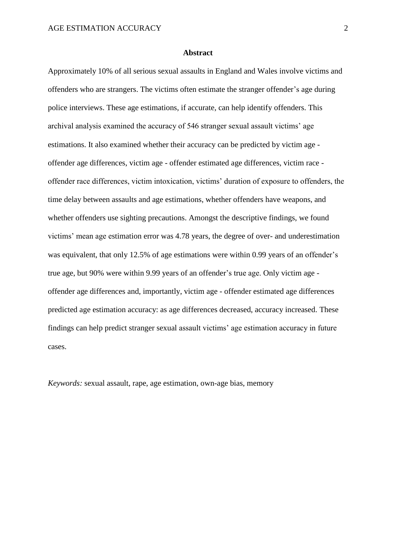#### **Abstract**

Approximately 10% of all serious sexual assaults in England and Wales involve victims and offenders who are strangers. The victims often estimate the stranger offender's age during police interviews. These age estimations, if accurate, can help identify offenders. This archival analysis examined the accuracy of 546 stranger sexual assault victims' age estimations. It also examined whether their accuracy can be predicted by victim age offender age differences, victim age - offender estimated age differences, victim race offender race differences, victim intoxication, victims' duration of exposure to offenders, the time delay between assaults and age estimations, whether offenders have weapons, and whether offenders use sighting precautions. Amongst the descriptive findings, we found victims' mean age estimation error was 4.78 years, the degree of over- and underestimation was equivalent, that only 12.5% of age estimations were within 0.99 years of an offender's true age, but 90% were within 9.99 years of an offender's true age. Only victim age offender age differences and, importantly, victim age - offender estimated age differences predicted age estimation accuracy: as age differences decreased, accuracy increased. These findings can help predict stranger sexual assault victims' age estimation accuracy in future cases.

*Keywords:* sexual assault, rape, age estimation, own-age bias, memory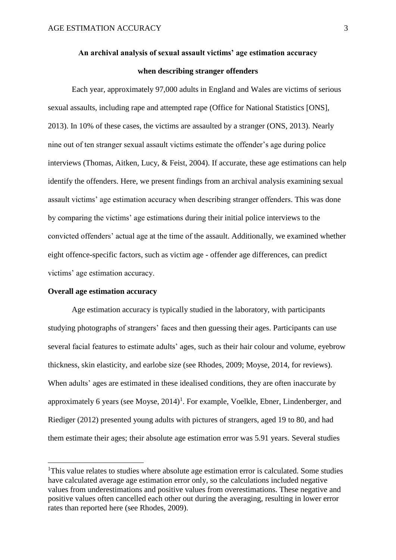## **An archival analysis of sexual assault victims' age estimation accuracy when describing stranger offenders**

Each year, approximately 97,000 adults in England and Wales are victims of serious sexual assaults, including rape and attempted rape (Office for National Statistics [ONS], 2013). In 10% of these cases, the victims are assaulted by a stranger (ONS, 2013). Nearly nine out of ten stranger sexual assault victims estimate the offender's age during police interviews (Thomas, Aitken, Lucy, & Feist, 2004). If accurate, these age estimations can help identify the offenders. Here, we present findings from an archival analysis examining sexual assault victims' age estimation accuracy when describing stranger offenders. This was done by comparing the victims' age estimations during their initial police interviews to the convicted offenders' actual age at the time of the assault. Additionally, we examined whether eight offence-specific factors, such as victim age - offender age differences, can predict victims' age estimation accuracy.

#### **Overall age estimation accuracy**

**.** 

Age estimation accuracy is typically studied in the laboratory, with participants studying photographs of strangers' faces and then guessing their ages. Participants can use several facial features to estimate adults' ages, such as their hair colour and volume, eyebrow thickness, skin elasticity, and earlobe size (see Rhodes, 2009; Moyse, 2014, for reviews). When adults' ages are estimated in these idealised conditions, they are often inaccurate by approximately 6 years (see Moyse,  $2014$ )<sup>1</sup>. For example, Voelkle, Ebner, Lindenberger, and Riediger (2012) presented young adults with pictures of strangers, aged 19 to 80, and had them estimate their ages; their absolute age estimation error was 5.91 years. Several studies

<sup>&</sup>lt;sup>1</sup>This value relates to studies where absolute age estimation error is calculated. Some studies have calculated average age estimation error only, so the calculations included negative values from underestimations and positive values from overestimations. These negative and positive values often cancelled each other out during the averaging, resulting in lower error rates than reported here (see Rhodes, 2009).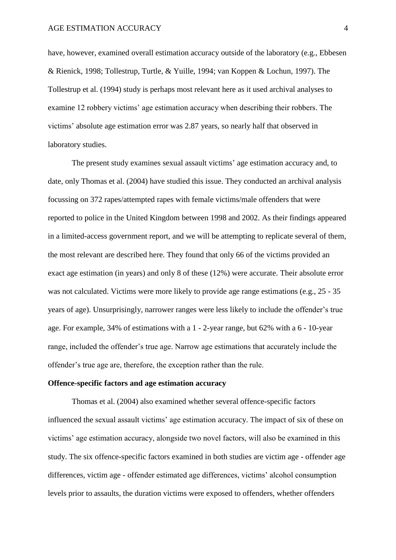have, however, examined overall estimation accuracy outside of the laboratory (e.g., Ebbesen & Rienick, 1998; Tollestrup, Turtle, & Yuille, 1994; van Koppen & Lochun, 1997). The Tollestrup et al. (1994) study is perhaps most relevant here as it used archival analyses to examine 12 robbery victims' age estimation accuracy when describing their robbers. The victims' absolute age estimation error was 2.87 years, so nearly half that observed in laboratory studies.

The present study examines sexual assault victims' age estimation accuracy and, to date, only Thomas et al. (2004) have studied this issue. They conducted an archival analysis focussing on 372 rapes/attempted rapes with female victims/male offenders that were reported to police in the United Kingdom between 1998 and 2002. As their findings appeared in a limited-access government report, and we will be attempting to replicate several of them, the most relevant are described here. They found that only 66 of the victims provided an exact age estimation (in years) and only 8 of these (12%) were accurate. Their absolute error was not calculated. Victims were more likely to provide age range estimations (e.g., 25 - 35 years of age). Unsurprisingly, narrower ranges were less likely to include the offender's true age. For example, 34% of estimations with a 1 - 2-year range, but 62% with a 6 - 10-year range, included the offender's true age. Narrow age estimations that accurately include the offender's true age are, therefore, the exception rather than the rule.

## **Offence-specific factors and age estimation accuracy**

Thomas et al. (2004) also examined whether several offence-specific factors influenced the sexual assault victims' age estimation accuracy. The impact of six of these on victims' age estimation accuracy, alongside two novel factors, will also be examined in this study. The six offence-specific factors examined in both studies are victim age - offender age differences, victim age - offender estimated age differences, victims' alcohol consumption levels prior to assaults, the duration victims were exposed to offenders, whether offenders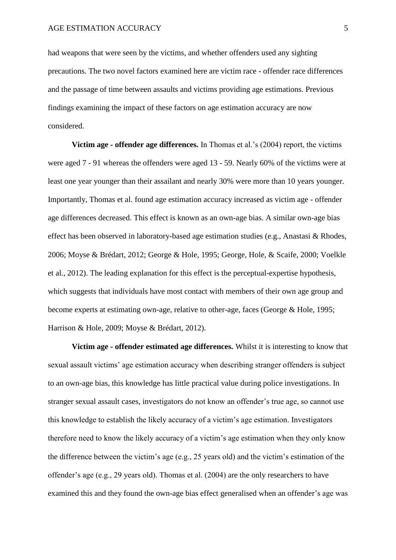had weapons that were seen by the victims, and whether offenders used any sighting precautions. The two novel factors examined here are victim race - offender race differences and the passage of time between assaults and victims providing age estimations. Previous findings examining the impact of these factors on age estimation accuracy are now considered.

**Victim age - offender age differences.** In Thomas et al.'s (2004) report, the victims were aged 7 - 91 whereas the offenders were aged 13 - 59. Nearly 60% of the victims were at least one year younger than their assailant and nearly 30% were more than 10 years younger. Importantly, Thomas et al. found age estimation accuracy increased as victim age - offender age differences decreased. This effect is known as an own-age bias. A similar own-age bias effect has been observed in laboratory-based age estimation studies (e.g., Anastasi & Rhodes, 2006; Moyse & Brédart, 2012; George & Hole, 1995; George, Hole, & Scaife, 2000; Voelkle et al., 2012). The leading explanation for this effect is the perceptual-expertise hypothesis, which suggests that individuals have most contact with members of their own age group and become experts at estimating own-age, relative to other-age, faces (George & Hole, 1995; Harrison & Hole, 2009; Moyse & Brédart, 2012).

**Victim age - offender estimated age differences.** Whilst it is interesting to know that sexual assault victims' age estimation accuracy when describing stranger offenders is subject to an own-age bias, this knowledge has little practical value during police investigations. In stranger sexual assault cases, investigators do not know an offender's true age, so cannot use this knowledge to establish the likely accuracy of a victim's age estimation. Investigators therefore need to know the likely accuracy of a victim's age estimation when they only know the difference between the victim's age (e.g., 25 years old) and the victim's estimation of the offender's age (e.g., 29 years old). Thomas et al. (2004) are the only researchers to have examined this and they found the own-age bias effect generalised when an offender's age was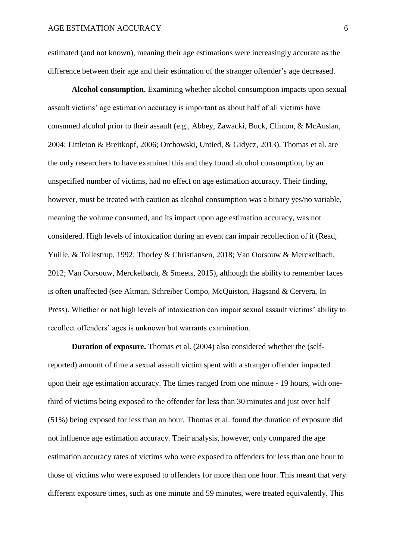estimated (and not known), meaning their age estimations were increasingly accurate as the difference between their age and their estimation of the stranger offender's age decreased.

**Alcohol consumption.** Examining whether alcohol consumption impacts upon sexual assault victims' age estimation accuracy is important as about half of all victims have consumed alcohol prior to their assault (e.g., Abbey, Zawacki, Buck, Clinton, & McAuslan, 2004; Littleton & Breitkopf, 2006; Orchowski, Untied, & Gidycz, 2013). Thomas et al. are the only researchers to have examined this and they found alcohol consumption, by an unspecified number of victims, had no effect on age estimation accuracy. Their finding, however, must be treated with caution as alcohol consumption was a binary yes/no variable, meaning the volume consumed, and its impact upon age estimation accuracy, was not considered. High levels of intoxication during an event can impair recollection of it (Read, Yuille, & Tollestrup, 1992; Thorley & Christiansen, 2018; Van Oorsouw & Merckelbach, 2012; Van Oorsouw, Merckelbach, & Smeets, 2015), although the ability to remember faces is often unaffected (see Altman, Schreiber Compo, McQuiston, Hagsand & Cervera, In Press). Whether or not high levels of intoxication can impair sexual assault victims' ability to recollect offenders' ages is unknown but warrants examination.

**Duration of exposure.** Thomas et al. (2004) also considered whether the (selfreported) amount of time a sexual assault victim spent with a stranger offender impacted upon their age estimation accuracy. The times ranged from one minute - 19 hours, with onethird of victims being exposed to the offender for less than 30 minutes and just over half (51%) being exposed for less than an hour. Thomas et al. found the duration of exposure did not influence age estimation accuracy. Their analysis, however, only compared the age estimation accuracy rates of victims who were exposed to offenders for less than one hour to those of victims who were exposed to offenders for more than one hour. This meant that very different exposure times, such as one minute and 59 minutes, were treated equivalently. This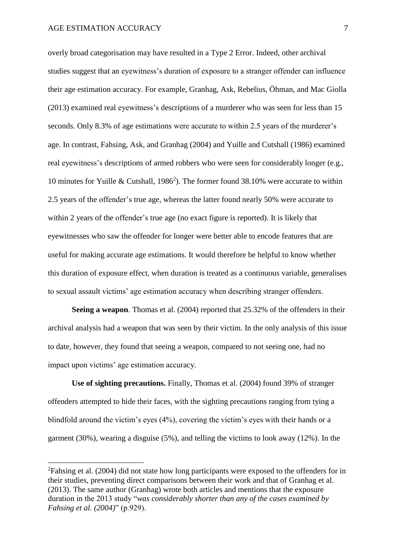**.** 

overly broad categorisation may have resulted in a Type 2 Error. Indeed, other archival studies suggest that an eyewitness's duration of exposure to a stranger offender can influence their age estimation accuracy. For example, Granhag, Ask, Rebelius, Öhman, and Mac Giolla (2013) examined real eyewitness's descriptions of a murderer who was seen for less than 15 seconds. Only 8.3% of age estimations were accurate to within 2.5 years of the murderer's age. In contrast, Fahsing, Ask, and Granhag (2004) and Yuille and Cutshall (1986) examined real eyewitness's descriptions of armed robbers who were seen for considerably longer (e.g., 10 minutes for Yuille & Cutshall, 1986<sup>2</sup>). The former found 38.10% were accurate to within 2.5 years of the offender's true age, whereas the latter found nearly 50% were accurate to within 2 years of the offender's true age (no exact figure is reported). It is likely that eyewitnesses who saw the offender for longer were better able to encode features that are useful for making accurate age estimations. It would therefore be helpful to know whether this duration of exposure effect, when duration is treated as a continuous variable, generalises to sexual assault victims' age estimation accuracy when describing stranger offenders.

**Seeing a weapon**. Thomas et al. (2004) reported that 25.32% of the offenders in their archival analysis had a weapon that was seen by their victim. In the only analysis of this issue to date, however, they found that seeing a weapon, compared to not seeing one, had no impact upon victims' age estimation accuracy.

**Use of sighting precautions.** Finally, Thomas et al. (2004) found 39% of stranger offenders attempted to hide their faces, with the sighting precautions ranging from tying a blindfold around the victim's eyes (4%), covering the victim's eyes with their hands or a garment (30%), wearing a disguise (5%), and telling the victims to look away (12%). In the

<sup>&</sup>lt;sup>2</sup>Fahsing et al. (2004) did not state how long participants were exposed to the offenders for in their studies, preventing direct comparisons between their work and that of Granhag et al. (2013). The same author (Granhag) wrote both articles and mentions that the exposure duration in the 2013 study "*was considerably shorter than any of the cases examined by Fahsing et al. (2004)*" (p.929).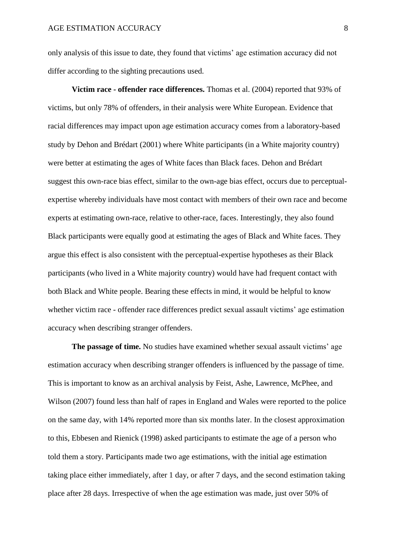only analysis of this issue to date, they found that victims' age estimation accuracy did not differ according to the sighting precautions used.

**Victim race - offender race differences.** Thomas et al. (2004) reported that 93% of victims, but only 78% of offenders, in their analysis were White European. Evidence that racial differences may impact upon age estimation accuracy comes from a laboratory-based study by Dehon and Brédart (2001) where White participants (in a White majority country) were better at estimating the ages of White faces than Black faces. Dehon and Brédart suggest this own-race bias effect, similar to the own-age bias effect, occurs due to perceptualexpertise whereby individuals have most contact with members of their own race and become experts at estimating own-race, relative to other-race, faces. Interestingly, they also found Black participants were equally good at estimating the ages of Black and White faces. They argue this effect is also consistent with the perceptual-expertise hypotheses as their Black participants (who lived in a White majority country) would have had frequent contact with both Black and White people. Bearing these effects in mind, it would be helpful to know whether victim race - offender race differences predict sexual assault victims' age estimation accuracy when describing stranger offenders.

**The passage of time.** No studies have examined whether sexual assault victims' age estimation accuracy when describing stranger offenders is influenced by the passage of time. This is important to know as an archival analysis by Feist, Ashe, Lawrence, McPhee, and Wilson (2007) found less than half of rapes in England and Wales were reported to the police on the same day, with 14% reported more than six months later. In the closest approximation to this, Ebbesen and Rienick (1998) asked participants to estimate the age of a person who told them a story. Participants made two age estimations, with the initial age estimation taking place either immediately, after 1 day, or after 7 days, and the second estimation taking place after 28 days. Irrespective of when the age estimation was made, just over 50% of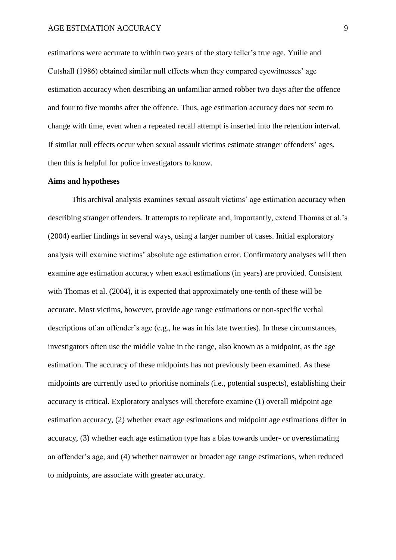estimations were accurate to within two years of the story teller's true age. Yuille and Cutshall (1986) obtained similar null effects when they compared eyewitnesses' age estimation accuracy when describing an unfamiliar armed robber two days after the offence and four to five months after the offence. Thus, age estimation accuracy does not seem to change with time, even when a repeated recall attempt is inserted into the retention interval. If similar null effects occur when sexual assault victims estimate stranger offenders' ages, then this is helpful for police investigators to know.

#### **Aims and hypotheses**

This archival analysis examines sexual assault victims' age estimation accuracy when describing stranger offenders. It attempts to replicate and, importantly, extend Thomas et al.'s (2004) earlier findings in several ways, using a larger number of cases. Initial exploratory analysis will examine victims' absolute age estimation error. Confirmatory analyses will then examine age estimation accuracy when exact estimations (in years) are provided. Consistent with Thomas et al. (2004), it is expected that approximately one-tenth of these will be accurate. Most victims, however, provide age range estimations or non-specific verbal descriptions of an offender's age (e.g., he was in his late twenties). In these circumstances, investigators often use the middle value in the range, also known as a midpoint, as the age estimation. The accuracy of these midpoints has not previously been examined. As these midpoints are currently used to prioritise nominals (i.e., potential suspects), establishing their accuracy is critical. Exploratory analyses will therefore examine (1) overall midpoint age estimation accuracy, (2) whether exact age estimations and midpoint age estimations differ in accuracy, (3) whether each age estimation type has a bias towards under- or overestimating an offender's age, and (4) whether narrower or broader age range estimations, when reduced to midpoints, are associate with greater accuracy.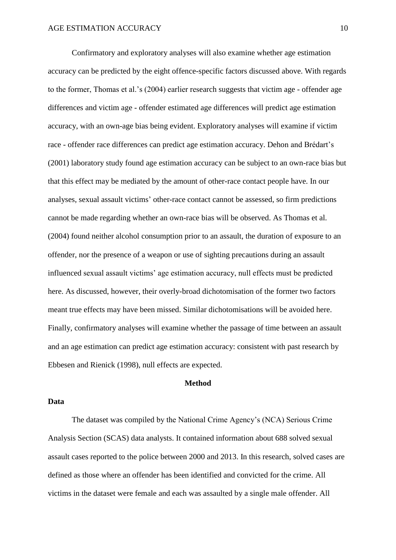Confirmatory and exploratory analyses will also examine whether age estimation accuracy can be predicted by the eight offence-specific factors discussed above. With regards to the former, Thomas et al.'s (2004) earlier research suggests that victim age - offender age differences and victim age - offender estimated age differences will predict age estimation accuracy, with an own-age bias being evident. Exploratory analyses will examine if victim race - offender race differences can predict age estimation accuracy. Dehon and Brédart's (2001) laboratory study found age estimation accuracy can be subject to an own-race bias but that this effect may be mediated by the amount of other-race contact people have. In our analyses, sexual assault victims' other-race contact cannot be assessed, so firm predictions cannot be made regarding whether an own-race bias will be observed. As Thomas et al. (2004) found neither alcohol consumption prior to an assault, the duration of exposure to an offender, nor the presence of a weapon or use of sighting precautions during an assault influenced sexual assault victims' age estimation accuracy, null effects must be predicted here. As discussed, however, their overly-broad dichotomisation of the former two factors meant true effects may have been missed. Similar dichotomisations will be avoided here. Finally, confirmatory analyses will examine whether the passage of time between an assault and an age estimation can predict age estimation accuracy: consistent with past research by Ebbesen and Rienick (1998), null effects are expected.

## **Method**

#### **Data**

The dataset was compiled by the National Crime Agency's (NCA) Serious Crime Analysis Section (SCAS) data analysts. It contained information about 688 solved sexual assault cases reported to the police between 2000 and 2013. In this research, solved cases are defined as those where an offender has been identified and convicted for the crime. All victims in the dataset were female and each was assaulted by a single male offender. All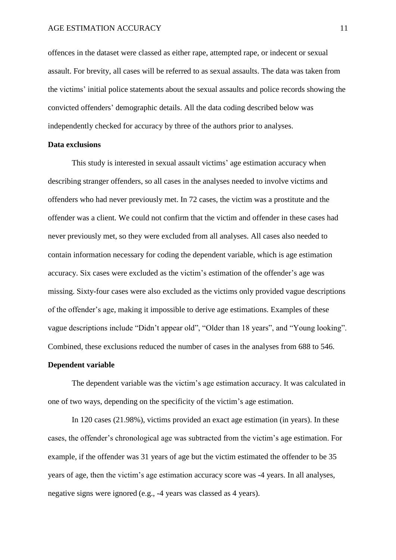offences in the dataset were classed as either rape, attempted rape, or indecent or sexual assault. For brevity, all cases will be referred to as sexual assaults. The data was taken from the victims' initial police statements about the sexual assaults and police records showing the convicted offenders' demographic details. All the data coding described below was independently checked for accuracy by three of the authors prior to analyses.

## **Data exclusions**

This study is interested in sexual assault victims' age estimation accuracy when describing stranger offenders, so all cases in the analyses needed to involve victims and offenders who had never previously met. In 72 cases, the victim was a prostitute and the offender was a client. We could not confirm that the victim and offender in these cases had never previously met, so they were excluded from all analyses. All cases also needed to contain information necessary for coding the dependent variable, which is age estimation accuracy. Six cases were excluded as the victim's estimation of the offender's age was missing. Sixty-four cases were also excluded as the victims only provided vague descriptions of the offender's age, making it impossible to derive age estimations. Examples of these vague descriptions include "Didn't appear old", "Older than 18 years", and "Young looking". Combined, these exclusions reduced the number of cases in the analyses from 688 to 546.

## **Dependent variable**

The dependent variable was the victim's age estimation accuracy. It was calculated in one of two ways, depending on the specificity of the victim's age estimation.

In 120 cases (21.98%), victims provided an exact age estimation (in years). In these cases, the offender's chronological age was subtracted from the victim's age estimation. For example, if the offender was 31 years of age but the victim estimated the offender to be 35 years of age, then the victim's age estimation accuracy score was -4 years. In all analyses, negative signs were ignored (e.g., -4 years was classed as 4 years).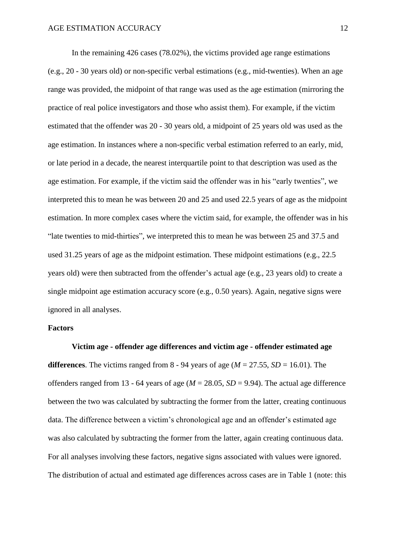In the remaining 426 cases (78.02%), the victims provided age range estimations (e.g., 20 - 30 years old) or non-specific verbal estimations (e.g., mid-twenties). When an age range was provided, the midpoint of that range was used as the age estimation (mirroring the practice of real police investigators and those who assist them). For example, if the victim estimated that the offender was 20 - 30 years old, a midpoint of 25 years old was used as the age estimation. In instances where a non-specific verbal estimation referred to an early, mid, or late period in a decade, the nearest interquartile point to that description was used as the age estimation. For example, if the victim said the offender was in his "early twenties", we interpreted this to mean he was between 20 and 25 and used 22.5 years of age as the midpoint estimation. In more complex cases where the victim said, for example, the offender was in his "late twenties to mid-thirties", we interpreted this to mean he was between 25 and 37.5 and used 31.25 years of age as the midpoint estimation. These midpoint estimations (e.g., 22.5 years old) were then subtracted from the offender's actual age (e.g., 23 years old) to create a single midpoint age estimation accuracy score (e.g., 0.50 years). Again, negative signs were ignored in all analyses.

#### **Factors**

**Victim age - offender age differences and victim age - offender estimated age differences**. The victims ranged from 8 - 94 years of age ( $M = 27.55$ ,  $SD = 16.01$ ). The offenders ranged from 13 - 64 years of age ( $M = 28.05$ ,  $SD = 9.94$ ). The actual age difference between the two was calculated by subtracting the former from the latter, creating continuous data. The difference between a victim's chronological age and an offender's estimated age was also calculated by subtracting the former from the latter, again creating continuous data. For all analyses involving these factors, negative signs associated with values were ignored. The distribution of actual and estimated age differences across cases are in Table 1 (note: this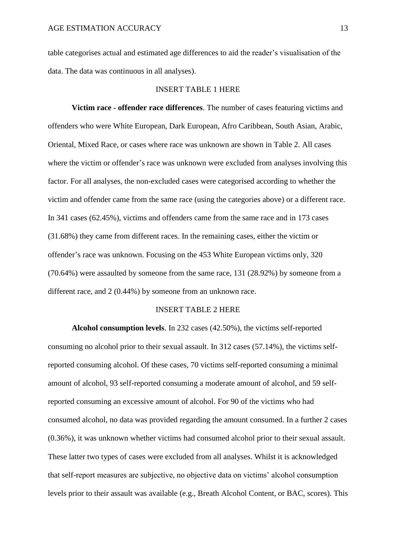table categorises actual and estimated age differences to aid the reader's visualisation of the data. The data was continuous in all analyses).

#### INSERT TABLE 1 HERE

**Victim race - offender race differences**. The number of cases featuring victims and offenders who were White European, Dark European, Afro Caribbean, South Asian, Arabic, Oriental, Mixed Race, or cases where race was unknown are shown in Table 2. All cases where the victim or offender's race was unknown were excluded from analyses involving this factor. For all analyses, the non-excluded cases were categorised according to whether the victim and offender came from the same race (using the categories above) or a different race. In 341 cases (62.45%), victims and offenders came from the same race and in 173 cases (31.68%) they came from different races. In the remaining cases, either the victim or offender's race was unknown. Focusing on the 453 White European victims only, 320 (70.64%) were assaulted by someone from the same race, 131 (28.92%) by someone from a different race, and 2 (0.44%) by someone from an unknown race.

## INSERT TABLE 2 HERE

**Alcohol consumption levels**. In 232 cases (42.50%), the victims self-reported consuming no alcohol prior to their sexual assault. In 312 cases (57.14%), the victims selfreported consuming alcohol. Of these cases, 70 victims self-reported consuming a minimal amount of alcohol, 93 self-reported consuming a moderate amount of alcohol, and 59 selfreported consuming an excessive amount of alcohol. For 90 of the victims who had consumed alcohol, no data was provided regarding the amount consumed. In a further 2 cases (0.36%), it was unknown whether victims had consumed alcohol prior to their sexual assault. These latter two types of cases were excluded from all analyses. Whilst it is acknowledged that self-report measures are subjective, no objective data on victims' alcohol consumption levels prior to their assault was available (e.g., Breath Alcohol Content, or BAC, scores). This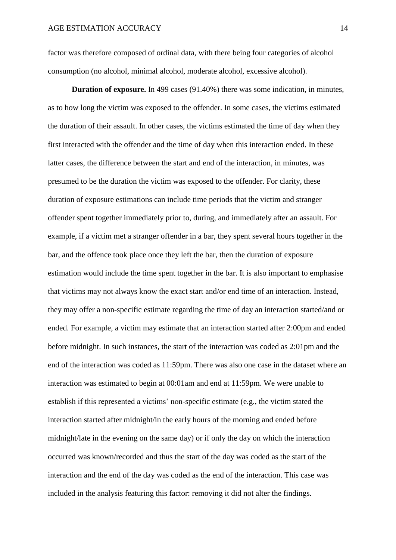factor was therefore composed of ordinal data, with there being four categories of alcohol consumption (no alcohol, minimal alcohol, moderate alcohol, excessive alcohol).

**Duration of exposure.** In 499 cases (91.40%) there was some indication, in minutes, as to how long the victim was exposed to the offender. In some cases, the victims estimated the duration of their assault. In other cases, the victims estimated the time of day when they first interacted with the offender and the time of day when this interaction ended. In these latter cases, the difference between the start and end of the interaction, in minutes, was presumed to be the duration the victim was exposed to the offender. For clarity, these duration of exposure estimations can include time periods that the victim and stranger offender spent together immediately prior to, during, and immediately after an assault. For example, if a victim met a stranger offender in a bar, they spent several hours together in the bar, and the offence took place once they left the bar, then the duration of exposure estimation would include the time spent together in the bar. It is also important to emphasise that victims may not always know the exact start and/or end time of an interaction. Instead, they may offer a non-specific estimate regarding the time of day an interaction started/and or ended. For example, a victim may estimate that an interaction started after 2:00pm and ended before midnight. In such instances, the start of the interaction was coded as 2:01pm and the end of the interaction was coded as 11:59pm. There was also one case in the dataset where an interaction was estimated to begin at 00:01am and end at 11:59pm. We were unable to establish if this represented a victims' non-specific estimate (e.g., the victim stated the interaction started after midnight/in the early hours of the morning and ended before midnight/late in the evening on the same day) or if only the day on which the interaction occurred was known/recorded and thus the start of the day was coded as the start of the interaction and the end of the day was coded as the end of the interaction. This case was included in the analysis featuring this factor: removing it did not alter the findings.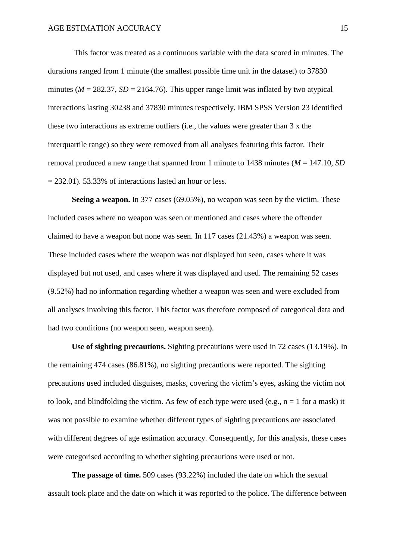This factor was treated as a continuous variable with the data scored in minutes. The durations ranged from 1 minute (the smallest possible time unit in the dataset) to 37830 minutes ( $M = 282.37$ ,  $SD = 2164.76$ ). This upper range limit was inflated by two atypical interactions lasting 30238 and 37830 minutes respectively. IBM SPSS Version 23 identified these two interactions as extreme outliers (i.e., the values were greater than 3 x the interquartile range) so they were removed from all analyses featuring this factor. Their removal produced a new range that spanned from 1 minute to 1438 minutes (*M* = 147.10, *SD*  $= 232.01$ ). 53.33% of interactions lasted an hour or less.

**Seeing a weapon.** In 377 cases (69.05%), no weapon was seen by the victim. These included cases where no weapon was seen or mentioned and cases where the offender claimed to have a weapon but none was seen. In 117 cases (21.43%) a weapon was seen. These included cases where the weapon was not displayed but seen, cases where it was displayed but not used, and cases where it was displayed and used. The remaining 52 cases (9.52%) had no information regarding whether a weapon was seen and were excluded from all analyses involving this factor. This factor was therefore composed of categorical data and had two conditions (no weapon seen, weapon seen).

**Use of sighting precautions.** Sighting precautions were used in 72 cases (13.19%). In the remaining 474 cases (86.81%), no sighting precautions were reported. The sighting precautions used included disguises, masks, covering the victim's eyes, asking the victim not to look, and blindfolding the victim. As few of each type were used (e.g.,  $n = 1$  for a mask) it was not possible to examine whether different types of sighting precautions are associated with different degrees of age estimation accuracy. Consequently, for this analysis, these cases were categorised according to whether sighting precautions were used or not.

**The passage of time.** 509 cases (93.22%) included the date on which the sexual assault took place and the date on which it was reported to the police. The difference between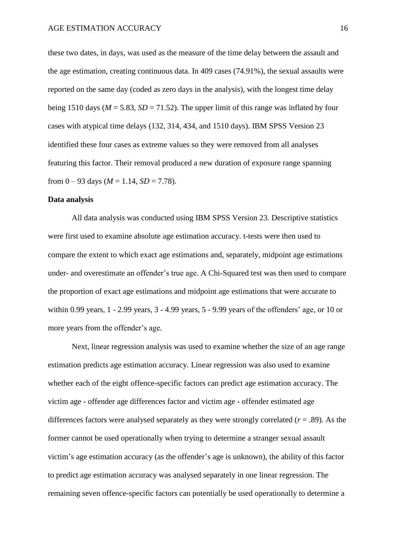these two dates, in days, was used as the measure of the time delay between the assault and the age estimation, creating continuous data. In 409 cases (74.91%), the sexual assaults were reported on the same day (coded as zero days in the analysis), with the longest time delay being 1510 days ( $M = 5.83$ ,  $SD = 71.52$ ). The upper limit of this range was inflated by four cases with atypical time delays (132, 314, 434, and 1510 days). IBM SPSS Version 23 identified these four cases as extreme values so they were removed from all analyses featuring this factor. Their removal produced a new duration of exposure range spanning from  $0 - 93$  days ( $M = 1.14$ ,  $SD = 7.78$ ).

#### **Data analysis**

All data analysis was conducted using IBM SPSS Version 23. Descriptive statistics were first used to examine absolute age estimation accuracy. t-tests were then used to compare the extent to which exact age estimations and, separately, midpoint age estimations under- and overestimate an offender's true age. A Chi-Squared test was then used to compare the proportion of exact age estimations and midpoint age estimations that were accurate to within 0.99 years, 1 - 2.99 years, 3 - 4.99 years, 5 - 9.99 years of the offenders' age, or 10 or more years from the offender's age.

Next, linear regression analysis was used to examine whether the size of an age range estimation predicts age estimation accuracy. Linear regression was also used to examine whether each of the eight offence-specific factors can predict age estimation accuracy. The victim age - offender age differences factor and victim age - offender estimated age differences factors were analysed separately as they were strongly correlated (*r* = .89). As the former cannot be used operationally when trying to determine a stranger sexual assault victim's age estimation accuracy (as the offender's age is unknown), the ability of this factor to predict age estimation accuracy was analysed separately in one linear regression. The remaining seven offence-specific factors can potentially be used operationally to determine a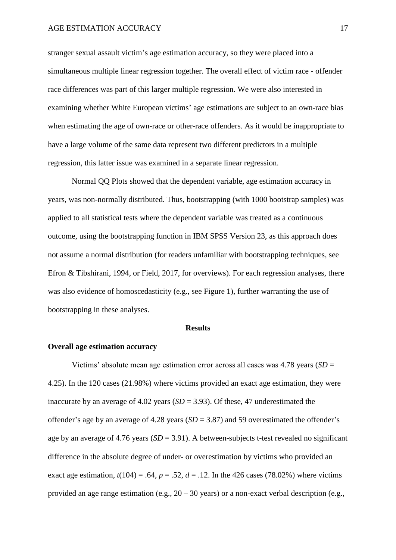stranger sexual assault victim's age estimation accuracy, so they were placed into a simultaneous multiple linear regression together. The overall effect of victim race - offender race differences was part of this larger multiple regression. We were also interested in examining whether White European victims' age estimations are subject to an own-race bias when estimating the age of own-race or other-race offenders. As it would be inappropriate to have a large volume of the same data represent two different predictors in a multiple regression, this latter issue was examined in a separate linear regression.

Normal QQ Plots showed that the dependent variable, age estimation accuracy in years, was non-normally distributed. Thus, bootstrapping (with 1000 bootstrap samples) was applied to all statistical tests where the dependent variable was treated as a continuous outcome, using the bootstrapping function in IBM SPSS Version 23, as this approach does not assume a normal distribution (for readers unfamiliar with bootstrapping techniques, see Efron & Tibshirani, 1994, or Field, 2017, for overviews). For each regression analyses, there was also evidence of homoscedasticity (e.g., see Figure 1), further warranting the use of bootstrapping in these analyses.

#### **Results**

## **Overall age estimation accuracy**

Victims' absolute mean age estimation error across all cases was 4.78 years (*SD* = 4.25). In the 120 cases (21.98%) where victims provided an exact age estimation, they were inaccurate by an average of  $4.02$  years (*SD* = 3.93). Of these, 47 underestimated the offender's age by an average of 4.28 years (*SD* = 3.87) and 59 overestimated the offender's age by an average of 4.76 years (*SD* = 3.91). A between-subjects t-test revealed no significant difference in the absolute degree of under- or overestimation by victims who provided an exact age estimation,  $t(104) = .64$ ,  $p = .52$ ,  $d = .12$ . In the 426 cases (78.02%) where victims provided an age range estimation (e.g., 20 – 30 years) or a non-exact verbal description (e.g.,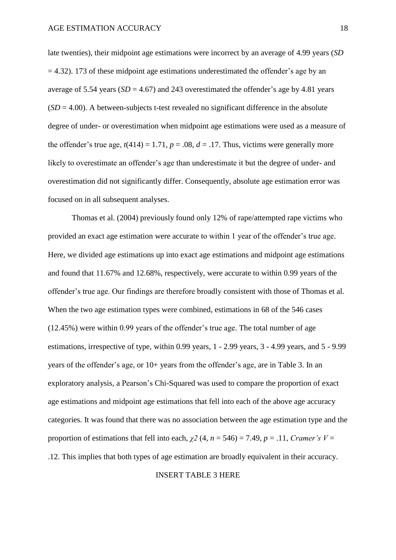late twenties), their midpoint age estimations were incorrect by an average of 4.99 years (*SD*  $= 4.32$ ). 173 of these midpoint age estimations underestimated the offender's age by an average of 5.54 years  $(SD = 4.67)$  and 243 overestimated the offender's age by 4.81 years  $(SD = 4.00)$ . A between-subjects t-test revealed no significant difference in the absolute degree of under- or overestimation when midpoint age estimations were used as a measure of the offender's true age,  $t(414) = 1.71$ ,  $p = .08$ ,  $d = .17$ . Thus, victims were generally more likely to overestimate an offender's age than underestimate it but the degree of under- and overestimation did not significantly differ. Consequently, absolute age estimation error was focused on in all subsequent analyses.

Thomas et al. (2004) previously found only 12% of rape/attempted rape victims who provided an exact age estimation were accurate to within 1 year of the offender's true age. Here, we divided age estimations up into exact age estimations and midpoint age estimations and found that 11.67% and 12.68%, respectively, were accurate to within 0.99 years of the offender's true age. Our findings are therefore broadly consistent with those of Thomas et al. When the two age estimation types were combined, estimations in 68 of the 546 cases (12.45%) were within 0.99 years of the offender's true age. The total number of age estimations, irrespective of type, within 0.99 years, 1 - 2.99 years, 3 - 4.99 years, and 5 - 9.99 years of the offender's age, or 10+ years from the offender's age, are in Table 3. In an exploratory analysis, a Pearson's Chi-Squared was used to compare the proportion of exact age estimations and midpoint age estimations that fell into each of the above age accuracy categories. It was found that there was no association between the age estimation type and the proportion of estimations that fell into each,  $\chi^2$  (4,  $n = 546$ ) = 7.49,  $p = .11$ , *Cramer's V* = .12. This implies that both types of age estimation are broadly equivalent in their accuracy.

#### INSERT TABLE 3 HERE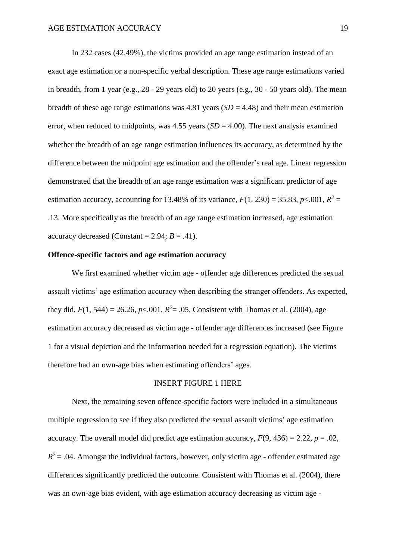In 232 cases (42.49%), the victims provided an age range estimation instead of an exact age estimation or a non-specific verbal description. These age range estimations varied in breadth, from 1 year (e.g., 28 - 29 years old) to 20 years (e.g., 30 - 50 years old). The mean breadth of these age range estimations was 4.81 years  $(SD = 4.48)$  and their mean estimation error, when reduced to midpoints, was  $4.55$  years  $(SD = 4.00)$ . The next analysis examined whether the breadth of an age range estimation influences its accuracy, as determined by the difference between the midpoint age estimation and the offender's real age. Linear regression demonstrated that the breadth of an age range estimation was a significant predictor of age estimation accuracy, accounting for 13.48% of its variance,  $F(1, 230) = 35.83$ ,  $p < .001$ ,  $R^2 =$ .13. More specifically as the breadth of an age range estimation increased, age estimation accuracy decreased (Constant =  $2.94$ ;  $B = .41$ ).

## **Offence-specific factors and age estimation accuracy**

We first examined whether victim age - offender age differences predicted the sexual assault victims' age estimation accuracy when describing the stranger offenders. As expected, they did,  $F(1, 544) = 26.26$ ,  $p < .001$ ,  $R^2 = .05$ . Consistent with Thomas et al. (2004), age estimation accuracy decreased as victim age - offender age differences increased (see Figure 1 for a visual depiction and the information needed for a regression equation). The victims therefore had an own-age bias when estimating offenders' ages.

## INSERT FIGURE 1 HERE

Next, the remaining seven offence-specific factors were included in a simultaneous multiple regression to see if they also predicted the sexual assault victims' age estimation accuracy. The overall model did predict age estimation accuracy,  $F(9, 436) = 2.22$ ,  $p = .02$ ,  $R^2$  = .04. Amongst the individual factors, however, only victim age - offender estimated age differences significantly predicted the outcome. Consistent with Thomas et al. (2004), there was an own-age bias evident, with age estimation accuracy decreasing as victim age -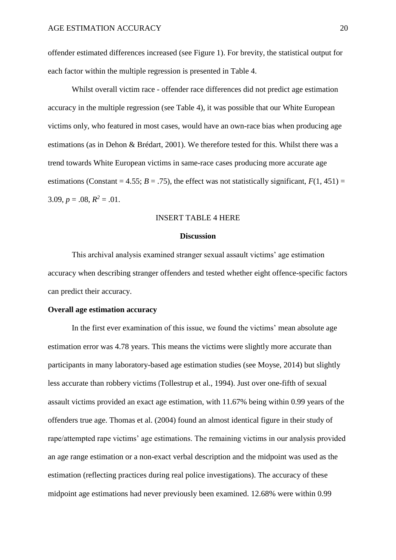offender estimated differences increased (see Figure 1). For brevity, the statistical output for each factor within the multiple regression is presented in Table 4.

Whilst overall victim race - offender race differences did not predict age estimation accuracy in the multiple regression (see Table 4), it was possible that our White European victims only, who featured in most cases, would have an own-race bias when producing age estimations (as in Dehon & Brédart, 2001). We therefore tested for this. Whilst there was a trend towards White European victims in same-race cases producing more accurate age estimations (Constant = 4.55;  $B = .75$ ), the effect was not statistically significant,  $F(1, 451) =$  $3.09, p = .08, R^2 = .01.$ 

## INSERT TABLE 4 HERE

## **Discussion**

This archival analysis examined stranger sexual assault victims' age estimation accuracy when describing stranger offenders and tested whether eight offence-specific factors can predict their accuracy.

#### **Overall age estimation accuracy**

In the first ever examination of this issue, we found the victims' mean absolute age estimation error was 4.78 years. This means the victims were slightly more accurate than participants in many laboratory-based age estimation studies (see Moyse, 2014) but slightly less accurate than robbery victims (Tollestrup et al., 1994). Just over one-fifth of sexual assault victims provided an exact age estimation, with 11.67% being within 0.99 years of the offenders true age. Thomas et al. (2004) found an almost identical figure in their study of rape/attempted rape victims' age estimations. The remaining victims in our analysis provided an age range estimation or a non-exact verbal description and the midpoint was used as the estimation (reflecting practices during real police investigations). The accuracy of these midpoint age estimations had never previously been examined. 12.68% were within 0.99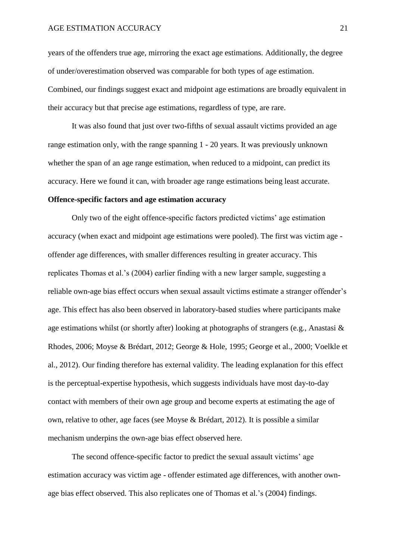#### AGE ESTIMATION ACCURACY 21

years of the offenders true age, mirroring the exact age estimations. Additionally, the degree of under/overestimation observed was comparable for both types of age estimation. Combined, our findings suggest exact and midpoint age estimations are broadly equivalent in their accuracy but that precise age estimations, regardless of type, are rare.

It was also found that just over two-fifths of sexual assault victims provided an age range estimation only, with the range spanning 1 - 20 years. It was previously unknown whether the span of an age range estimation, when reduced to a midpoint, can predict its accuracy. Here we found it can, with broader age range estimations being least accurate.

## **Offence-specific factors and age estimation accuracy**

Only two of the eight offence-specific factors predicted victims' age estimation accuracy (when exact and midpoint age estimations were pooled). The first was victim age offender age differences, with smaller differences resulting in greater accuracy. This replicates Thomas et al.'s (2004) earlier finding with a new larger sample, suggesting a reliable own-age bias effect occurs when sexual assault victims estimate a stranger offender's age. This effect has also been observed in laboratory-based studies where participants make age estimations whilst (or shortly after) looking at photographs of strangers (e.g., Anastasi & Rhodes, 2006; Moyse & Brédart, 2012; George & Hole, 1995; George et al., 2000; Voelkle et al., 2012). Our finding therefore has external validity. The leading explanation for this effect is the perceptual-expertise hypothesis, which suggests individuals have most day-to-day contact with members of their own age group and become experts at estimating the age of own, relative to other, age faces (see Moyse & Brédart, 2012). It is possible a similar mechanism underpins the own-age bias effect observed here.

The second offence-specific factor to predict the sexual assault victims' age estimation accuracy was victim age - offender estimated age differences, with another ownage bias effect observed. This also replicates one of Thomas et al.'s (2004) findings.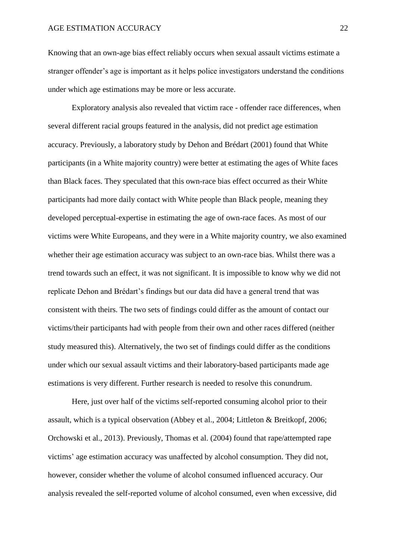Knowing that an own-age bias effect reliably occurs when sexual assault victims estimate a stranger offender's age is important as it helps police investigators understand the conditions under which age estimations may be more or less accurate.

Exploratory analysis also revealed that victim race - offender race differences, when several different racial groups featured in the analysis, did not predict age estimation accuracy. Previously, a laboratory study by Dehon and Brédart (2001) found that White participants (in a White majority country) were better at estimating the ages of White faces than Black faces. They speculated that this own-race bias effect occurred as their White participants had more daily contact with White people than Black people, meaning they developed perceptual-expertise in estimating the age of own-race faces. As most of our victims were White Europeans, and they were in a White majority country, we also examined whether their age estimation accuracy was subject to an own-race bias. Whilst there was a trend towards such an effect, it was not significant. It is impossible to know why we did not replicate Dehon and Brédart's findings but our data did have a general trend that was consistent with theirs. The two sets of findings could differ as the amount of contact our victims/their participants had with people from their own and other races differed (neither study measured this). Alternatively, the two set of findings could differ as the conditions under which our sexual assault victims and their laboratory-based participants made age estimations is very different. Further research is needed to resolve this conundrum.

Here, just over half of the victims self-reported consuming alcohol prior to their assault, which is a typical observation (Abbey et al., 2004; Littleton & Breitkopf, 2006; Orchowski et al., 2013). Previously, Thomas et al. (2004) found that rape/attempted rape victims' age estimation accuracy was unaffected by alcohol consumption. They did not, however, consider whether the volume of alcohol consumed influenced accuracy. Our analysis revealed the self-reported volume of alcohol consumed, even when excessive, did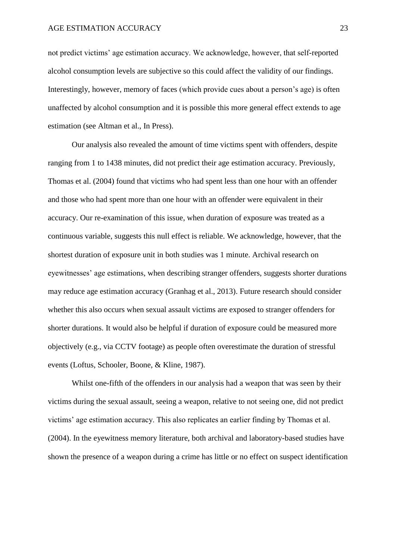not predict victims' age estimation accuracy. We acknowledge, however, that self-reported alcohol consumption levels are subjective so this could affect the validity of our findings. Interestingly, however, memory of faces (which provide cues about a person's age) is often unaffected by alcohol consumption and it is possible this more general effect extends to age estimation (see Altman et al., In Press).

Our analysis also revealed the amount of time victims spent with offenders, despite ranging from 1 to 1438 minutes, did not predict their age estimation accuracy. Previously, Thomas et al. (2004) found that victims who had spent less than one hour with an offender and those who had spent more than one hour with an offender were equivalent in their accuracy. Our re-examination of this issue, when duration of exposure was treated as a continuous variable, suggests this null effect is reliable. We acknowledge, however, that the shortest duration of exposure unit in both studies was 1 minute. Archival research on eyewitnesses' age estimations, when describing stranger offenders, suggests shorter durations may reduce age estimation accuracy (Granhag et al., 2013). Future research should consider whether this also occurs when sexual assault victims are exposed to stranger offenders for shorter durations. It would also be helpful if duration of exposure could be measured more objectively (e.g., via CCTV footage) as people often overestimate the duration of stressful events (Loftus, Schooler, Boone, & Kline, 1987).

Whilst one-fifth of the offenders in our analysis had a weapon that was seen by their victims during the sexual assault, seeing a weapon, relative to not seeing one, did not predict victims' age estimation accuracy. This also replicates an earlier finding by Thomas et al. (2004). In the eyewitness memory literature, both archival and laboratory-based studies have shown the presence of a weapon during a crime has little or no effect on suspect identification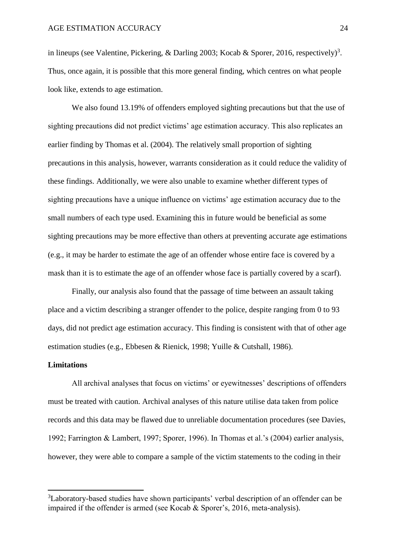in lineups (see Valentine, Pickering, & Darling 2003; Kocab & Sporer, 2016, respectively)<sup>3</sup>. Thus, once again, it is possible that this more general finding, which centres on what people look like, extends to age estimation.

We also found 13.19% of offenders employed sighting precautions but that the use of sighting precautions did not predict victims' age estimation accuracy. This also replicates an earlier finding by Thomas et al. (2004). The relatively small proportion of sighting precautions in this analysis, however, warrants consideration as it could reduce the validity of these findings. Additionally, we were also unable to examine whether different types of sighting precautions have a unique influence on victims' age estimation accuracy due to the small numbers of each type used. Examining this in future would be beneficial as some sighting precautions may be more effective than others at preventing accurate age estimations (e.g., it may be harder to estimate the age of an offender whose entire face is covered by a mask than it is to estimate the age of an offender whose face is partially covered by a scarf).

Finally, our analysis also found that the passage of time between an assault taking place and a victim describing a stranger offender to the police, despite ranging from 0 to 93 days, did not predict age estimation accuracy. This finding is consistent with that of other age estimation studies (e.g., Ebbesen & Rienick, 1998; Yuille & Cutshall, 1986).

## **Limitations**

**.** 

All archival analyses that focus on victims' or eyewitnesses' descriptions of offenders must be treated with caution. Archival analyses of this nature utilise data taken from police records and this data may be flawed due to unreliable documentation procedures (see Davies, 1992; Farrington & Lambert, 1997; Sporer, 1996). In Thomas et al.'s (2004) earlier analysis, however, they were able to compare a sample of the victim statements to the coding in their

<sup>&</sup>lt;sup>3</sup>Laboratory-based studies have shown participants' verbal description of an offender can be impaired if the offender is armed (see Kocab & Sporer's, 2016, meta-analysis).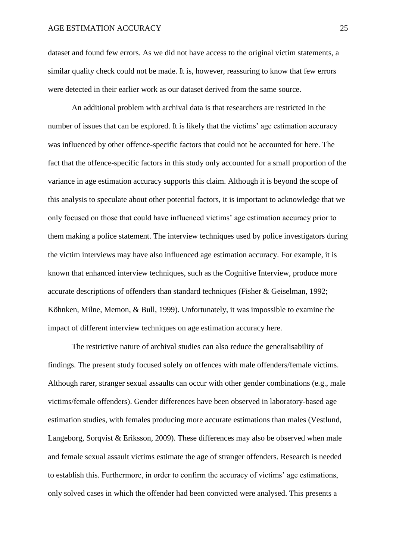dataset and found few errors. As we did not have access to the original victim statements, a similar quality check could not be made. It is, however, reassuring to know that few errors were detected in their earlier work as our dataset derived from the same source.

An additional problem with archival data is that researchers are restricted in the number of issues that can be explored. It is likely that the victims' age estimation accuracy was influenced by other offence-specific factors that could not be accounted for here. The fact that the offence-specific factors in this study only accounted for a small proportion of the variance in age estimation accuracy supports this claim. Although it is beyond the scope of this analysis to speculate about other potential factors, it is important to acknowledge that we only focused on those that could have influenced victims' age estimation accuracy prior to them making a police statement. The interview techniques used by police investigators during the victim interviews may have also influenced age estimation accuracy. For example, it is known that enhanced interview techniques, such as the Cognitive Interview, produce more accurate descriptions of offenders than standard techniques (Fisher & Geiselman, 1992; Köhnken, Milne, Memon, & Bull, 1999). Unfortunately, it was impossible to examine the impact of different interview techniques on age estimation accuracy here.

The restrictive nature of archival studies can also reduce the generalisability of findings. The present study focused solely on offences with male offenders/female victims. Although rarer, stranger sexual assaults can occur with other gender combinations (e.g., male victims/female offenders). Gender differences have been observed in laboratory-based age estimation studies, with females producing more accurate estimations than males (Vestlund, Langeborg, Sorqvist & Eriksson, 2009). These differences may also be observed when male and female sexual assault victims estimate the age of stranger offenders. Research is needed to establish this. Furthermore, in order to confirm the accuracy of victims' age estimations, only solved cases in which the offender had been convicted were analysed. This presents a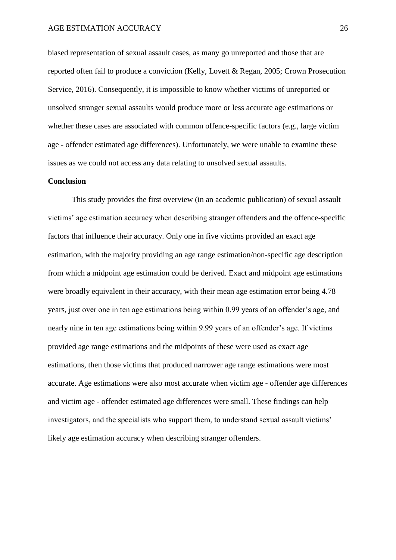biased representation of sexual assault cases, as many go unreported and those that are reported often fail to produce a conviction (Kelly, Lovett & Regan, 2005; Crown Prosecution Service, 2016). Consequently, it is impossible to know whether victims of unreported or unsolved stranger sexual assaults would produce more or less accurate age estimations or whether these cases are associated with common offence-specific factors (e.g., large victim age - offender estimated age differences). Unfortunately, we were unable to examine these issues as we could not access any data relating to unsolved sexual assaults.

#### **Conclusion**

This study provides the first overview (in an academic publication) of sexual assault victims' age estimation accuracy when describing stranger offenders and the offence-specific factors that influence their accuracy. Only one in five victims provided an exact age estimation, with the majority providing an age range estimation/non-specific age description from which a midpoint age estimation could be derived. Exact and midpoint age estimations were broadly equivalent in their accuracy, with their mean age estimation error being 4.78 years, just over one in ten age estimations being within 0.99 years of an offender's age, and nearly nine in ten age estimations being within 9.99 years of an offender's age. If victims provided age range estimations and the midpoints of these were used as exact age estimations, then those victims that produced narrower age range estimations were most accurate. Age estimations were also most accurate when victim age - offender age differences and victim age - offender estimated age differences were small. These findings can help investigators, and the specialists who support them, to understand sexual assault victims' likely age estimation accuracy when describing stranger offenders.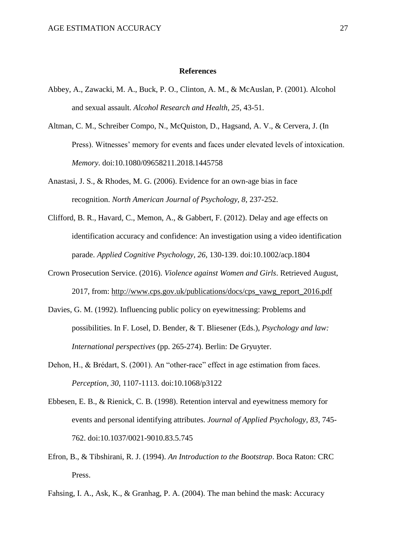#### **References**

- Abbey, A., Zawacki, M. A., Buck, P. O., Clinton, A. M., & McAuslan, P. (2001). Alcohol and sexual assault. *Alcohol Research and Health, 25*, 43-51.
- Altman, C. M., Schreiber Compo, N., McQuiston, D., Hagsand, A. V., & Cervera, J. (In Press). Witnesses' memory for events and faces under elevated levels of intoxication. *Memory*. doi:10.1080/09658211.2018.1445758
- Anastasi, J. S., & Rhodes, M. G. (2006). Evidence for an own-age bias in face recognition. *North American Journal of Psychology, 8*, 237-252.
- Clifford, B. R., Havard, C., Memon, A., & Gabbert, F. (2012). Delay and age effects on identification accuracy and confidence: An investigation using a video identification parade. *Applied Cognitive Psychology, 26*, 130-139. doi:10.1002/acp.1804
- Crown Prosecution Service. (2016). *Violence against Women and Girls*. Retrieved August, 2017, from: [http://www.cps.gov.uk/publications/docs/cps\\_vawg\\_report\\_2016.pdf](http://www.cps.gov.uk/publications/docs/cps_vawg_report_2016.pdf)
- Davies, G. M. (1992). Influencing public policy on eyewitnessing: Problems and possibilities. In F. Losel, D. Bender, & T. Bliesener (Eds.), *Psychology and law: International perspectives* (pp. 265-274). Berlin: De Gryuyter.
- Dehon, H., & Brédart, S. (2001). An "other-race" effect in age estimation from faces. *Perception, 30*, 1107-1113. doi:10.1068/p3122
- Ebbesen, E. B., & Rienick, C. B. (1998). Retention interval and eyewitness memory for events and personal identifying attributes. *Journal of Applied Psychology*, *83*, 745- 762. doi:10.1037/0021-9010.83.5.745
- Efron, B., & Tibshirani, R. J. (1994). *An Introduction to the Bootstrap*. Boca Raton: CRC Press.
- Fahsing, I. A., Ask, K., & Granhag, P. A. (2004). The man behind the mask: Accuracy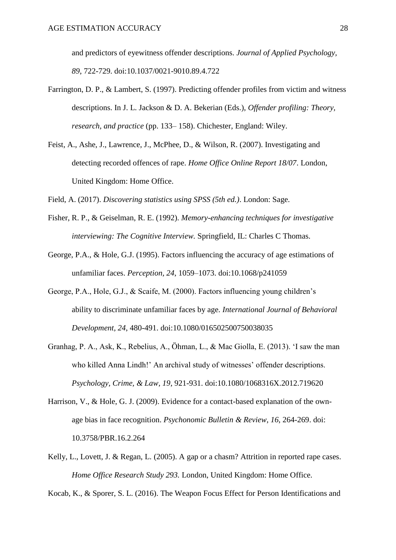and predictors of eyewitness offender descriptions. *Journal of Applied Psychology, 89*, 722-729. doi:10.1037/0021-9010.89.4.722

- Farrington, D. P., & Lambert, S. (1997). Predicting offender profiles from victim and witness descriptions. In J. L. Jackson & D. A. Bekerian (Eds.), *Offender profiling: Theory, research, and practice* (pp. 133– 158). Chichester, England: Wiley.
- Feist, A., Ashe, J., Lawrence, J., McPhee, D., & Wilson, R. (2007). Investigating and detecting recorded offences of rape. *Home Office Online Report 18/07*. London, United Kingdom: Home Office.

Field, A. (2017). *Discovering statistics using SPSS (5th ed.)*. London: Sage.

- Fisher, R. P., & Geiselman, R. E. (1992). *Memory-enhancing techniques for investigative interviewing: The Cognitive Interview.* Springfield, IL: Charles C Thomas.
- George, P.A., & Hole, G.J. (1995). Factors influencing the accuracy of age estimations of unfamiliar faces. *Perception, 24*, 1059–1073. doi:10.1068/p241059
- George, P.A., Hole, G.J., & Scaife, M. (2000). Factors influencing young children's ability to discriminate unfamiliar faces by age. *International Journal of Behavioral Development, 24*, 480-491. doi:10.1080/016502500750038035
- Granhag, P. A., Ask, K., Rebelius, A., Öhman, L., & Mac Giolla, E. (2013). 'I saw the man who killed Anna Lindh!' An archival study of witnesses' offender descriptions. *Psychology, Crime, & Law, 19*, 921-931. doi:10.1080/1068316X.2012.719620
- Harrison, V., & Hole, G. J. (2009). Evidence for a contact-based explanation of the ownage bias in face recognition. *Psychonomic Bulletin & Review*, *16*, 264-269. doi: 10.3758/PBR.16.2.264
- Kelly, L., Lovett, J. & Regan, L. (2005). A gap or a chasm? Attrition in reported rape cases. *Home Office Research Study 293.* London, United Kingdom: Home Office.

Kocab, K., & Sporer, S. L. (2016). The Weapon Focus Effect for Person Identifications and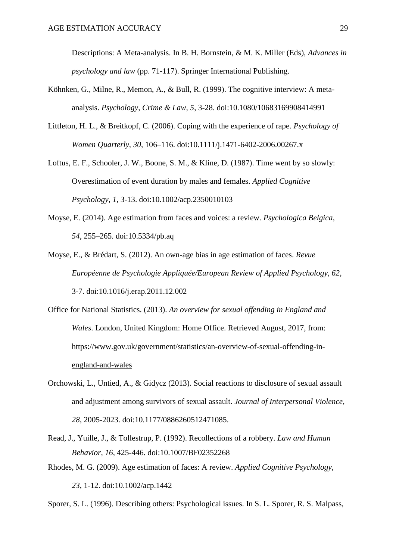Descriptions: A Meta-analysis. In B. H. Bornstein, & M. K. Miller (Eds), *Advances in psychology and law* (pp. 71-117). Springer International Publishing.

- Köhnken, G., Milne, R., Memon, A., & Bull, R. (1999). The cognitive interview: A metaanalysis. *Psychology, Crime & Law, 5*, 3-28. doi:10.1080/10683169908414991
- Littleton, H. L., & Breitkopf, C. (2006). Coping with the experience of rape. *Psychology of Women Quarterly, 30*, 106–116. doi:10.1111/j.1471-6402-2006.00267.x
- Loftus, E. F., Schooler, J. W., Boone, S. M., & Kline, D. (1987). Time went by so slowly: Overestimation of event duration by males and females. *Applied Cognitive Psychology, 1*, 3-13. doi:10.1002/acp.2350010103
- Moyse, E. (2014). Age estimation from faces and voices: a review. *Psychologica Belgica*, *54*, 255–265. doi:10.5334/pb.aq
- Moyse, E., & Brédart, S. (2012). An own-age bias in age estimation of faces. *Revue Européenne de Psychologie Appliquée/European Review of Applied Psychology, 62*, 3-7. doi:10.1016/j.erap.2011.12.002
- Office for National Statistics. (2013). *An overview for sexual offending in England and Wales*. London, United Kingdom: Home Office. Retrieved August, 2017, from: [https://www.gov.uk/government/statistics/an-overview-of-sexual-offending-in](https://www.gov.uk/government/statistics/an-overview-of-sexual-offending-in-england-and-wales)[england-and-wales](https://www.gov.uk/government/statistics/an-overview-of-sexual-offending-in-england-and-wales)
- Orchowski, L., Untied, A., & Gidycz (2013). Social reactions to disclosure of sexual assault and adjustment among survivors of sexual assault. *Journal of Interpersonal Violence, 28*, 2005-2023. doi:10.1177/0886260512471085.
- Read, J., Yuille, J., & Tollestrup, P. (1992). Recollections of a robbery. *Law and Human Behavior, 16*, 425-446. doi:10.1007/BF02352268
- Rhodes, M. G. (2009). Age estimation of faces: A review. *Applied Cognitive Psychology*,

*23*, 1-12. doi:10.1002/acp.1442

Sporer, S. L. (1996). Describing others: Psychological issues. In S. L. Sporer, R. S. Malpass,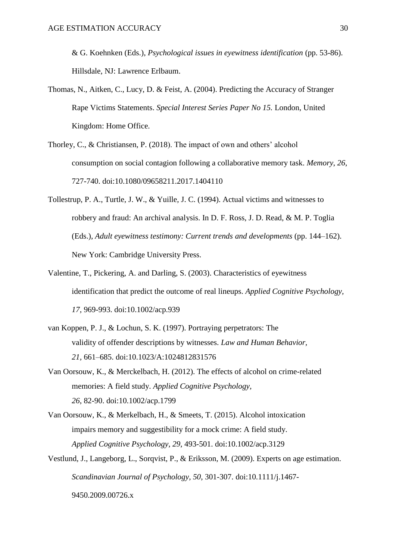& G. Koehnken (Eds.), *Psychological issues in eyewitness identification* (pp. 53-86). Hillsdale, NJ: Lawrence Erlbaum.

- Thomas, N., Aitken, C., Lucy, D. & Feist, A. (2004). Predicting the Accuracy of Stranger Rape Victims Statements. *Special Interest Series Paper No 15.* London, United Kingdom: Home Office.
- Thorley, C., & Christiansen, P. (2018). The impact of own and others' alcohol consumption on social contagion following a collaborative memory task. *Memory*, *26*, 727-740. doi:10.1080/09658211.2017.1404110
- Tollestrup, P. A., Turtle, J. W., & Yuille, J. C. (1994). Actual victims and witnesses to robbery and fraud: An archival analysis. In D. F. Ross, J. D. Read, & M. P. Toglia (Eds.), *Adult eyewitness testimony: Current trends and developments* (pp. 144–162). New York: Cambridge University Press.
- Valentine, T., Pickering, A. and Darling, S. (2003). Characteristics of eyewitness identification that predict the outcome of real lineups. *Applied Cognitive Psychology, 17*, 969-993. doi:10.1002/acp.939
- van Koppen, P. J., & Lochun, S. K. (1997). Portraying perpetrators: The validity of offender descriptions by witnesses. *Law and Human Behavior, 21,* 661–685. doi:10.1023/A:1024812831576
- Van Oorsouw, K., & Merckelbach, H. (2012). The effects of alcohol on crime-related memories: A field study. *Applied Cognitive Psychology, 26*, 82-90. doi:10.1002/acp.1799
- Van Oorsouw, K., & Merkelbach, H., & Smeets, T. (2015). Alcohol intoxication impairs memory and suggestibility for a mock crime: A field study. *Applied Cognitive Psychology, 29*, 493-501. doi:10.1002/acp.3129
- Vestlund, J., Langeborg, L., Sorqvist, P., & Eriksson, M. (2009). Experts on age estimation. *Scandinavian Journal of Psychology, 50*, 301-307. doi:10.1111/j.1467- 9450.2009.00726.x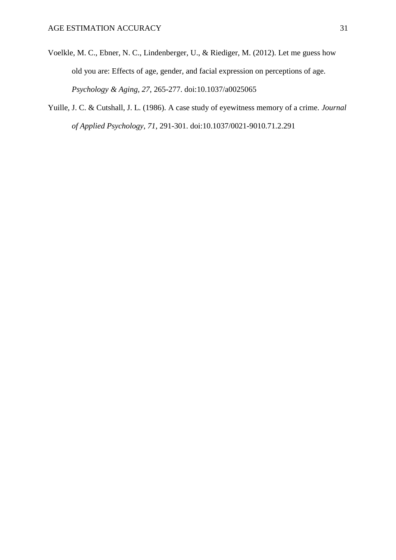- Voelkle, M. C., Ebner, N. C., Lindenberger, U., & Riediger, M. (2012). Let me guess how old you are: Effects of age, gender, and facial expression on perceptions of age. *Psychology & Aging, 27*, 265-277. doi:10.1037/a0025065
- Yuille, J. C. & Cutshall, J. L. (1986). A case study of eyewitness memory of a crime. *Journal of Applied Psychology, 71*, 291-301. doi:10.1037/0021-9010.71.2.291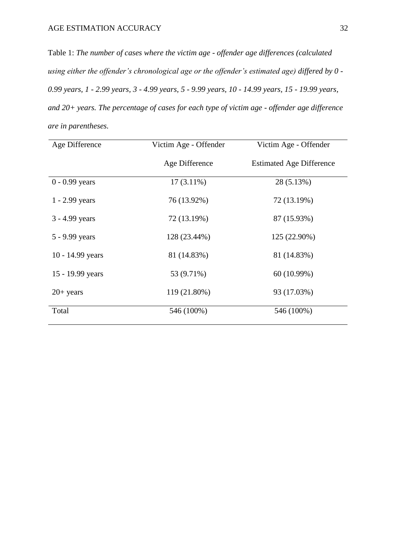Table 1: *The number of cases where the victim age - offender age differences (calculated using either the offender's chronological age or the offender's estimated age) differed by 0 - 0.99 years, 1 - 2.99 years, 3 - 4.99 years, 5 - 9.99 years, 10 - 14.99 years, 15 - 19.99 years, and 20+ years. The percentage of cases for each type of victim age - offender age difference are in parentheses.*

| Age Difference   | Victim Age - Offender | Victim Age - Offender           |  |
|------------------|-----------------------|---------------------------------|--|
|                  | Age Difference        | <b>Estimated Age Difference</b> |  |
| $0 - 0.99$ years | $17(3.11\%)$          | 28 (5.13%)                      |  |
| $1 - 2.99$ years | 76 (13.92%)           | 72 (13.19%)                     |  |
| 3 - 4.99 years   | 72 (13.19%)           | 87 (15.93%)                     |  |
| 5 - 9.99 years   | 128 (23.44%)          | 125 (22.90%)                    |  |
| 10 - 14.99 years | 81 (14.83%)           | 81 (14.83%)                     |  |
| 15 - 19.99 years | 53 (9.71%)            | 60 (10.99%)                     |  |
| $20+$ years      | 119 (21.80%)          | 93 (17.03%)                     |  |
| Total            | 546 (100%)            | 546 (100%)                      |  |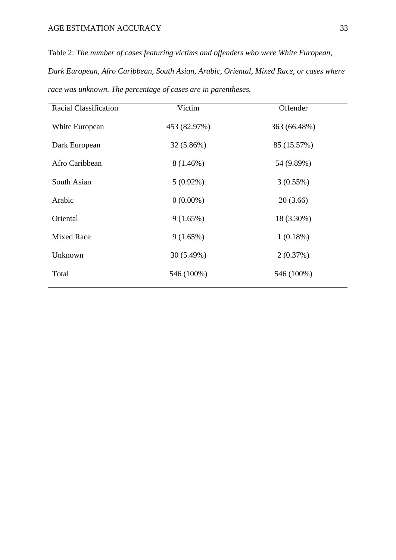Table 2: *The number of cases featuring victims and offenders who were White European, Dark European, Afro Caribbean, South Asian, Arabic, Oriental, Mixed Race, or cases where race was unknown. The percentage of cases are in parentheses.*

| <b>Racial Classification</b> | Victim       | Offender     |  |
|------------------------------|--------------|--------------|--|
| White European               | 453 (82.97%) | 363 (66.48%) |  |
| Dark European                | 32 (5.86%)   | 85 (15.57%)  |  |
| Afro Caribbean               | $8(1.46\%)$  | 54 (9.89%)   |  |
| South Asian                  | $5(0.92\%)$  | 3(0.55%)     |  |
| Arabic                       | $0(0.00\%)$  | 20(3.66)     |  |
| Oriental                     | 9(1.65%)     | 18 (3.30%)   |  |
| <b>Mixed Race</b>            | 9(1.65%)     | 1(0.18%)     |  |
| Unknown                      | 30 (5.49%)   | 2(0.37%)     |  |
| Total                        | 546 (100%)   | 546 (100%)   |  |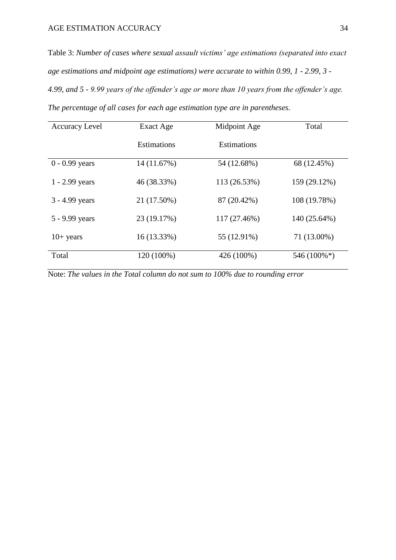Table 3: *Number of cases where sexual assault victims' age estimations (separated into exact age estimations and midpoint age estimations) were accurate to within 0.99, 1 - 2.99, 3 - 4.99, and 5 - 9.99 years of the offender's age or more than 10 years from the offender's age. The percentage of all cases for each age estimation type are in parentheses.*

| <b>Accuracy Level</b> | Exact Age          | Midpoint Age       | Total        |
|-----------------------|--------------------|--------------------|--------------|
|                       | <b>Estimations</b> | <b>Estimations</b> |              |
| $0 - 0.99$ years      | 14 (11.67%)        | 54 (12.68%)        | 68 (12.45%)  |
| $1 - 2.99$ years      | 46 (38.33%)        | 113 (26.53%)       | 159 (29.12%) |
| $3 - 4.99$ years      | 21 (17.50%)        | 87 (20.42%)        | 108 (19.78%) |
| 5 - 9.99 years        | 23 (19.17%)        | 117 (27.46%)       | 140 (25.64%) |
| $10+$ years           | $16(13.33\%)$      | 55 (12.91%)        | 71 (13.00%)  |
| Total                 | 120 (100%)         | 426 (100%)         | 546 (100%*)  |

Note: *The values in the Total column do not sum to 100% due to rounding error*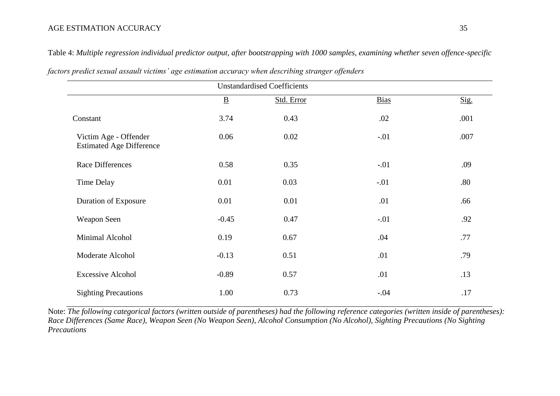## AGE ESTIMATION ACCURACY 35

| <b>Unstandardised Coefficients</b>                       |                          |            |             |      |  |
|----------------------------------------------------------|--------------------------|------------|-------------|------|--|
|                                                          | $\underline{\mathbf{B}}$ | Std. Error | <b>Bias</b> | Sig. |  |
| Constant                                                 | 3.74                     | 0.43       | .02         | .001 |  |
| Victim Age - Offender<br><b>Estimated Age Difference</b> | 0.06                     | 0.02       | $-.01$      | .007 |  |
| <b>Race Differences</b>                                  | 0.58                     | 0.35       | $-.01$      | .09  |  |
| <b>Time Delay</b>                                        | 0.01                     | 0.03       | $-.01$      | .80  |  |
| <b>Duration of Exposure</b>                              | 0.01                     | 0.01       | .01         | .66  |  |
| Weapon Seen                                              | $-0.45$                  | 0.47       | $-.01$      | .92  |  |
| Minimal Alcohol                                          | 0.19                     | 0.67       | .04         | .77  |  |
| Moderate Alcohol                                         | $-0.13$                  | 0.51       | .01         | .79  |  |
| <b>Excessive Alcohol</b>                                 | $-0.89$                  | 0.57       | .01         | .13  |  |
| <b>Sighting Precautions</b>                              | 1.00                     | 0.73       | $-.04$      | .17  |  |

Table 4: *Multiple regression individual predictor output, after bootstrapping with 1000 samples, examining whether seven offence-specific* 

*factors predict sexual assault victims' age estimation accuracy when describing stranger offenders*

Note: *The following categorical factors (written outside of parentheses) had the following reference categories (written inside of parentheses): Race Differences (Same Race), Weapon Seen (No Weapon Seen), Alcohol Consumption (No Alcohol), Sighting Precautions (No Sighting Precautions*